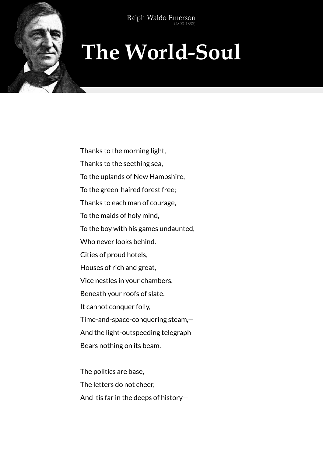Type to enter the top that

## **The World-Soul**

Thanks to the morning light, Thanks to the seething sea, To the uplands of New Hampshire, To the green-haired forest free; Thanks to each man of courage, To the maids of holy mind, To the boy with his games undaunted, Who never looks behind. Cities of proud hotels, Houses of rich and great, Vice nestles in your chambers, Beneath your roofs of slate. It cannot conquer folly, Time-and-space-conquering steam,— And the light-outspeeding telegraph Bears nothing on its beam.

The politics are base, The letters do not cheer, And 'tis far in the deeps of history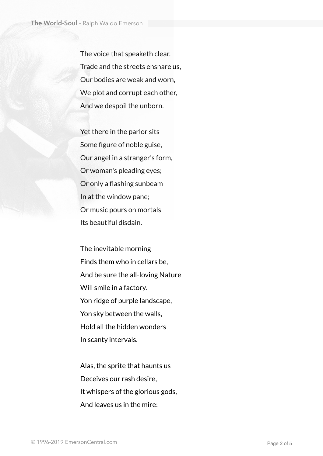The voice that speaketh clear. Trade and the streets ensnare us, Our bodies are weak and worn, We plot and corrupt each other, And we despoil the unborn.

Yet there in the parlor sits Some figure of noble guise, Our angel in a stranger's form, Or woman's pleading eyes; Or only a flashing sunbeam In at the window pane; Or music pours on mortals Its beautiful disdain.

The inevitable morning Finds them who in cellars be, And be sure the all-loving Nature Will smile in a factory. Yon ridge of purple landscape, Yon sky between the walls, Hold all the hidden wonders In scanty intervals.

Alas, the sprite that haunts us Deceives our rash desire, It whispers of the glorious gods, And leaves us in the mire: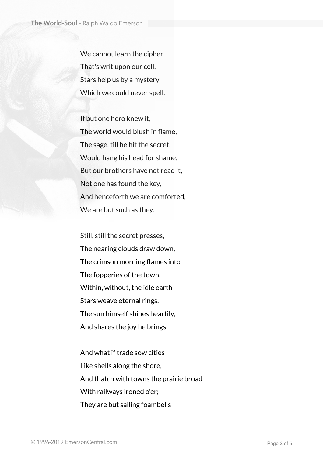We cannot learn the cipher That's writ upon our cell, Stars help us by a mystery Which we could never spell.

If but one hero knew it, The world would blush in flame, The sage, till he hit the secret, Would hang his head for shame. But our brothers have not read it, Not one has found the key, And henceforth we are comforted, We are but such as they.

Still, still the secret presses, The nearing clouds draw down, The crimson morning flames into The fopperies of the town. Within, without, the idle earth Stars weave eternal rings, The sun himself shines heartily, And shares the joy he brings.

And what if trade sow cities Like shells along the shore, And thatch with towns the prairie broad With railways ironed o'er;— They are but sailing foambells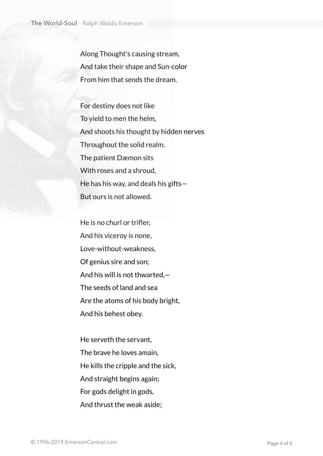Along Thought's causing stream, And take their shape and Sun-color From him that sends the dream.

For destiny does not like To yield to men the helm, And shoots his thought by hidden nerves Throughout the solid realm. The patient Dæmon sits With roses and a shroud, He has his way, and deals his gifts— But ours is not allowed.

He is no churl or trifler, And his viceroy is none, Love-without-weakness, Of genius sire and son; And his will is not thwarted,— The seeds of land and sea Are the atoms of his body bright, And his behest obey.

He serveth the servant, The brave he loves amain, He kills the cripple and the sick, And straight begins again; For gods delight in gods, And thrust the weak aside;